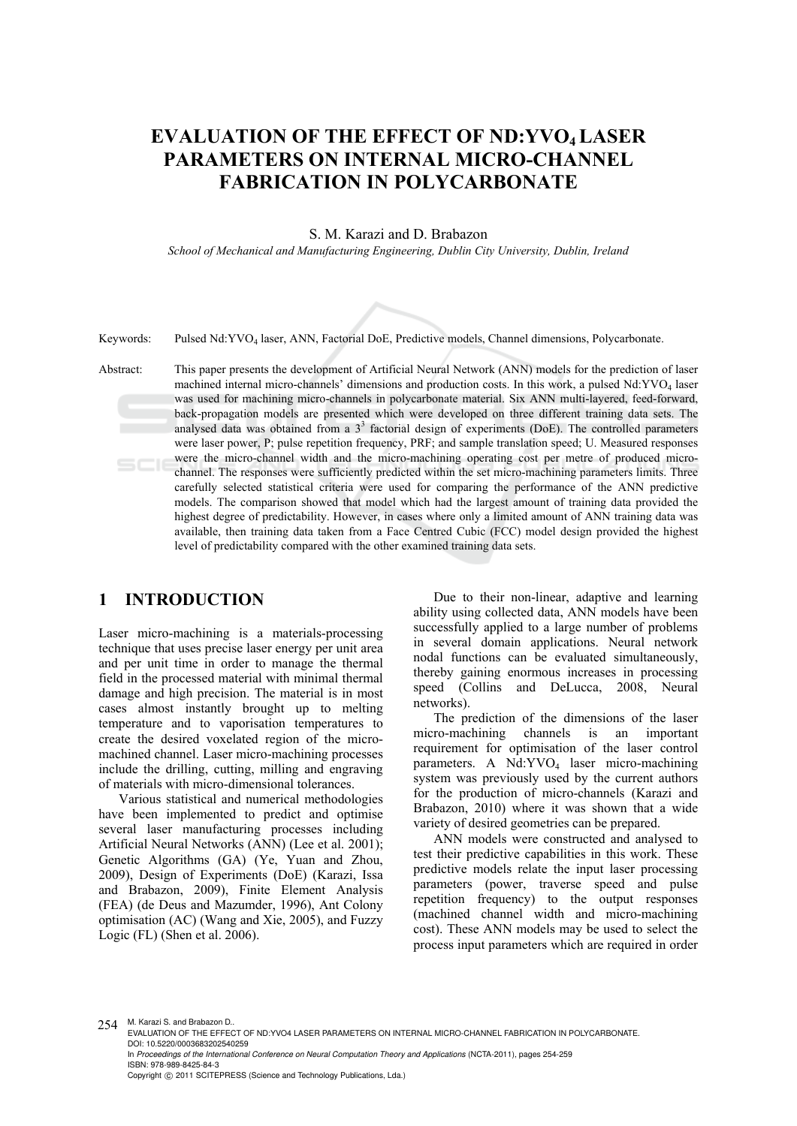# **EVALUATION OF THE EFFECT OF ND:YVO4 LASER PARAMETERS ON INTERNAL MICRO-CHANNEL FABRICATION IN POLYCARBONATE**

S. M. Karazi and D. Brabazon

*School of Mechanical and Manufacturing Engineering, Dublin City University, Dublin, Ireland* 



Keywords: Pulsed Nd:YVO4 laser, ANN, Factorial DoE, Predictive models, Channel dimensions, Polycarbonate.

Abstract: This paper presents the development of Artificial Neural Network (ANN) models for the prediction of laser machined internal micro-channels' dimensions and production costs. In this work, a pulsed Nd:YVO<sub>4</sub> laser was used for machining micro-channels in polycarbonate material. Six ANN multi-layered, feed-forward, back-propagation models are presented which were developed on three different training data sets. The analysed data was obtained from a  $3<sup>3</sup>$  factorial design of experiments (DoE). The controlled parameters were laser power, P; pulse repetition frequency, PRF; and sample translation speed; U. Measured responses were the micro-channel width and the micro-machining operating cost per metre of produced micro- $SCIE$ channel. The responses were sufficiently predicted within the set micro-machining parameters limits. Three carefully selected statistical criteria were used for comparing the performance of the ANN predictive models. The comparison showed that model which had the largest amount of training data provided the highest degree of predictability. However, in cases where only a limited amount of ANN training data was available, then training data taken from a Face Centred Cubic (FCC) model design provided the highest level of predictability compared with the other examined training data sets.

### **1 INTRODUCTION**

Laser micro-machining is a materials-processing technique that uses precise laser energy per unit area and per unit time in order to manage the thermal field in the processed material with minimal thermal damage and high precision. The material is in most cases almost instantly brought up to melting temperature and to vaporisation temperatures to create the desired voxelated region of the micromachined channel. Laser micro-machining processes include the drilling, cutting, milling and engraving of materials with micro-dimensional tolerances.

Various statistical and numerical methodologies have been implemented to predict and optimise several laser manufacturing processes including Artificial Neural Networks (ANN) (Lee et al. 2001); Genetic Algorithms (GA) (Ye, Yuan and Zhou, 2009), Design of Experiments (DoE) (Karazi, Issa and Brabazon, 2009), Finite Element Analysis (FEA) (de Deus and Mazumder, 1996), Ant Colony optimisation (AC) (Wang and Xie, 2005), and Fuzzy Logic (FL) (Shen et al. 2006).

Due to their non-linear, adaptive and learning ability using collected data, ANN models have been successfully applied to a large number of problems in several domain applications. Neural network nodal functions can be evaluated simultaneously, thereby gaining enormous increases in processing speed (Collins and DeLucca, 2008, Neural networks).

The prediction of the dimensions of the laser micro-machining channels is an important requirement for optimisation of the laser control parameters. A Nd:YVO<sub>4</sub> laser micro-machining system was previously used by the current authors for the production of micro-channels (Karazi and Brabazon, 2010) where it was shown that a wide variety of desired geometries can be prepared.

ANN models were constructed and analysed to test their predictive capabilities in this work. These predictive models relate the input laser processing parameters (power, traverse speed and pulse repetition frequency) to the output responses (machined channel width and micro-machining cost). These ANN models may be used to select the process input parameters which are required in order

254 M. Karazi S. and Brabazon D..

EVALUATION OF THE EFFECT OF ND:YVO4 LASER PARAMETERS ON INTERNAL MICRO-CHANNEL FABRICATION IN POLYCARBONATE. DOI: 10.5220/0003683202540259

In *Proceedings of the International Conference on Neural Computation Theory and Applications* (NCTA-2011), pages 254-259 ISBN: 978-989-8425-84-3

Copyright © 2011 SCITEPRESS (Science and Technology Publications, Lda.)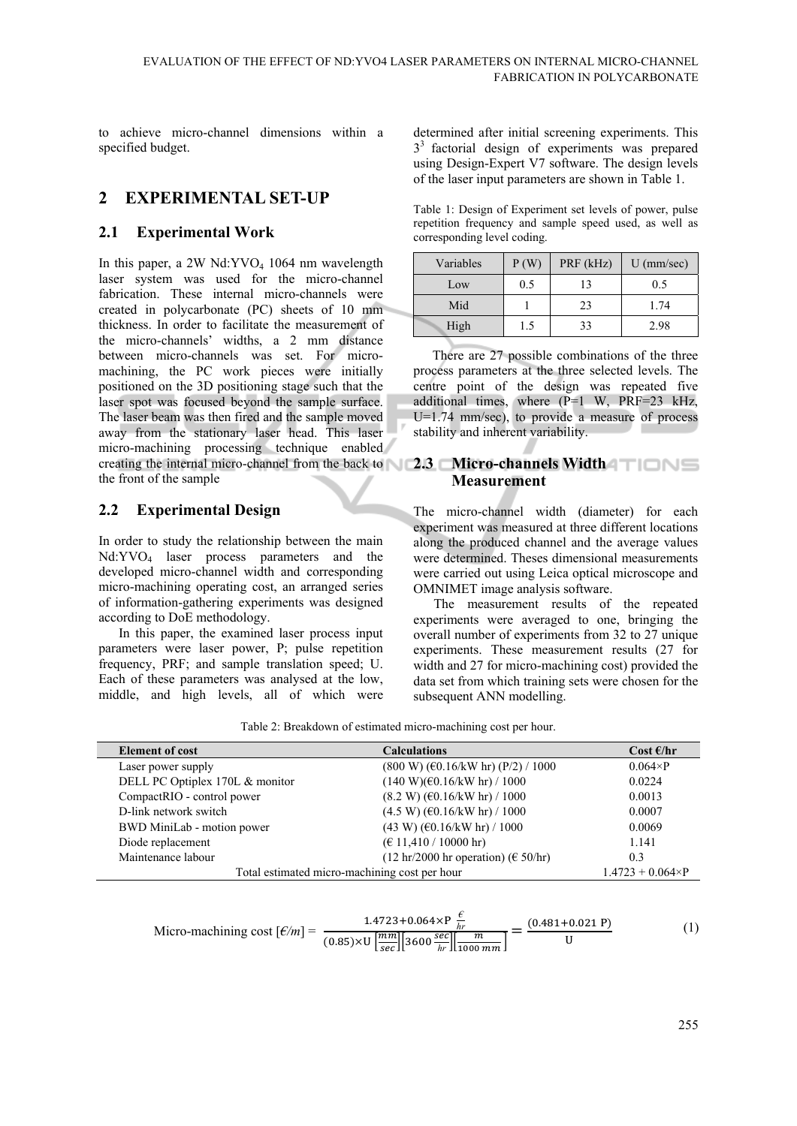to achieve micro-channel dimensions within a specified budget.

## **2 EXPERIMENTAL SET-UP**

#### **2.1 Experimental Work**

In this paper, a  $2W$  Nd:YVO<sub>4</sub> 1064 nm wavelength laser system was used for the micro-channel fabrication. These internal micro-channels were created in polycarbonate (PC) sheets of 10 mm thickness. In order to facilitate the measurement of the micro-channels' widths, a 2 mm distance between micro-channels was set. For micromachining, the PC work pieces were initially positioned on the 3D positioning stage such that the laser spot was focused beyond the sample surface. The laser beam was then fired and the sample moved away from the stationary laser head. This laser micro-machining processing technique enabled creating the internal micro-channel from the back to **2.3 Micro-channels Width**  the front of the sample

#### **2.2 Experimental Design**

In order to study the relationship between the main Nd:YVO4 laser process parameters and the developed micro-channel width and corresponding micro-machining operating cost, an arranged series of information-gathering experiments was designed according to DoE methodology.

In this paper, the examined laser process input parameters were laser power, P; pulse repetition frequency, PRF; and sample translation speed; U. Each of these parameters was analysed at the low, middle, and high levels, all of which were determined after initial screening experiments. This 33 factorial design of experiments was prepared using Design-Expert V7 software. The design levels of the laser input parameters are shown in Table 1.

Table 1: Design of Experiment set levels of power, pulse repetition frequency and sample speed used, as well as corresponding level coding.

| Variables | P(W) | PRF (kHz) | $U$ (mm/sec) |
|-----------|------|-----------|--------------|
| Low       | 0.5  |           | 0.5          |
| Mid       |      | 23        | 1.74         |
| High      | 1.5  | 33        | 2.98         |

There are 27 possible combinations of the three process parameters at the three selected levels. The centre point of the design was repeated five additional times, where (P=1 W, PRF=23 kHz, U=1.74 mm/sec), to provide a measure of process stability and inherent variability.

# **Measurement**

The micro-channel width (diameter) for each experiment was measured at three different locations along the produced channel and the average values were determined. Theses dimensional measurements were carried out using Leica optical microscope and OMNIMET image analysis software.

The measurement results of the repeated experiments were averaged to one, bringing the overall number of experiments from 32 to 27 unique experiments. These measurement results (27 for width and 27 for micro-machining cost) provided the data set from which training sets were chosen for the subsequent ANN modelling.

Table 2: Breakdown of estimated micro-machining cost per hour.

| <b>Element of cost</b>                        | <b>Calculations</b>                                | Cost $\epsilon$ /hr |  |
|-----------------------------------------------|----------------------------------------------------|---------------------|--|
| Laser power supply                            | $(800 W)$ ( $60.16/kW$ hr) ( $P/2$ ) / 1000        | $0.064\times P$     |  |
| DELL PC Optiplex 170L & monitor               | (140 W)(60.16/kW hr) / 1000                        | 0.0224              |  |
| CompactRIO - control power                    | $(8.2 W)$ ( $\epsilon$ 0.16/kW hr) / 1000          | 0.0013              |  |
| D-link network switch                         | $(4.5 W)$ ( $\epsilon$ 0.16/kW hr) / 1000          | 0.0007              |  |
| BWD MiniLab - motion power                    | $(43 W)$ (€0.16/kW hr) / 1000                      | 0.0069              |  |
| Diode replacement                             | $(\text{\textsterling} 11,410 / 10000 \text{ hr})$ | 1.141               |  |
| Maintenance labour                            | $(12 hr/2000 hr operation)$ (€ 50/hr)              | 0.3                 |  |
| Total estimated micro-machining cost per hour | $1.4723 + 0.064 \times P$                          |                     |  |

Micro-maching cost 
$$
[\mathcal{E}/m] = \frac{1.4723 + 0.064 \times P \frac{\mathcal{E}}{hr}}{(0.85) \times U \left[\frac{mm}{sec}\right] \left[3600 \frac{\sec}{hr}\right] \left[\frac{m}{1000 \, mm}\right]} = \frac{(0.481 + 0.021 \, P)}{U}
$$
 (1)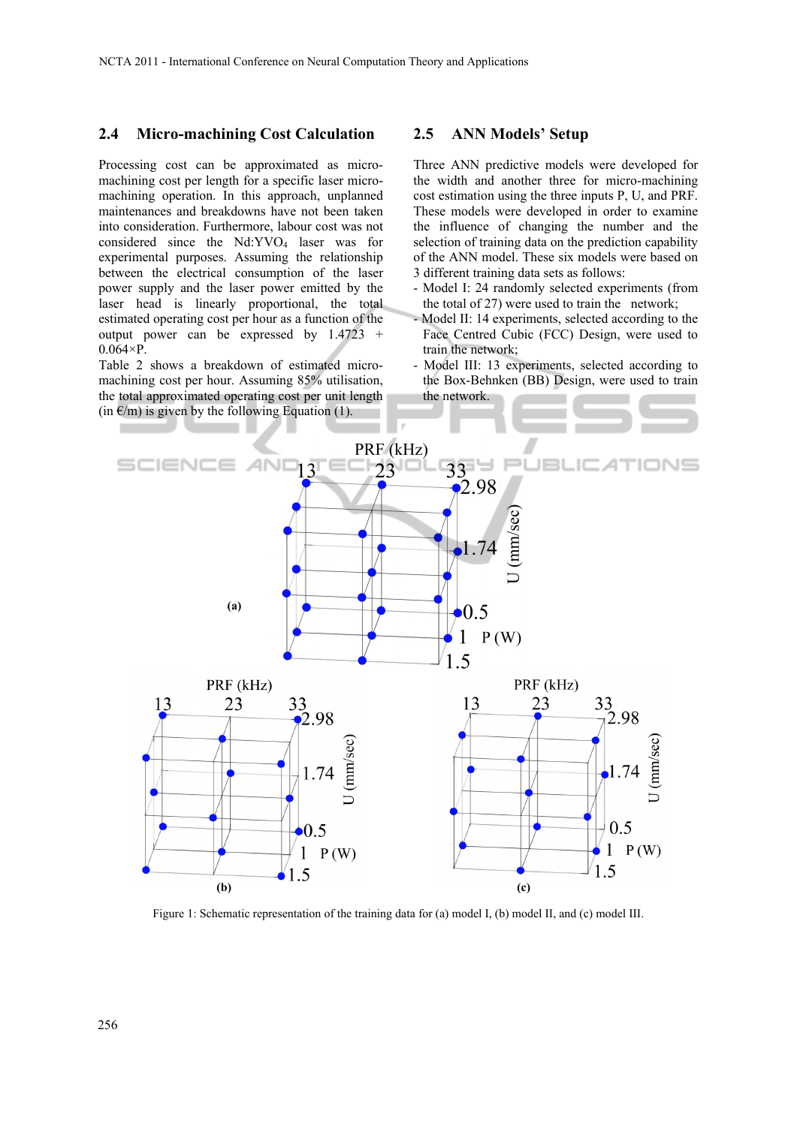#### **2.4 Micro-machining Cost Calculation**

Processing cost can be approximated as micromachining cost per length for a specific laser micromachining operation. In this approach, unplanned maintenances and breakdowns have not been taken into consideration. Furthermore, labour cost was not considered since the  $Nd:YVO<sub>4</sub>$  laser was for experimental purposes. Assuming the relationship between the electrical consumption of the laser power supply and the laser power emitted by the laser head is linearly proportional, the total estimated operating cost per hour as a function of the output power can be expressed by 1.4723 +  $0.064\times P$ .

Table 2 shows a breakdown of estimated micromachining cost per hour. Assuming 85% utilisation, the total approximated operating cost per unit length  $(in \in \mathcal{E}/m)$  is given by the following Equation (1).

#### **2.5 ANN Models' Setup**

Three ANN predictive models were developed for the width and another three for micro-machining cost estimation using the three inputs P, U, and PRF. These models were developed in order to examine the influence of changing the number and the selection of training data on the prediction capability of the ANN model. These six models were based on 3 different training data sets as follows:

- Model I: 24 randomly selected experiments (from the total of 27) were used to train the network;
- Model II: 14 experiments, selected according to the Face Centred Cubic (FCC) Design, were used to train the network;
- Model III: 13 experiments, selected according to the Box-Behnken (BB) Design, were used to train the network.



Figure 1: Schematic representation of the training data for (a) model I, (b) model II, and (c) model III.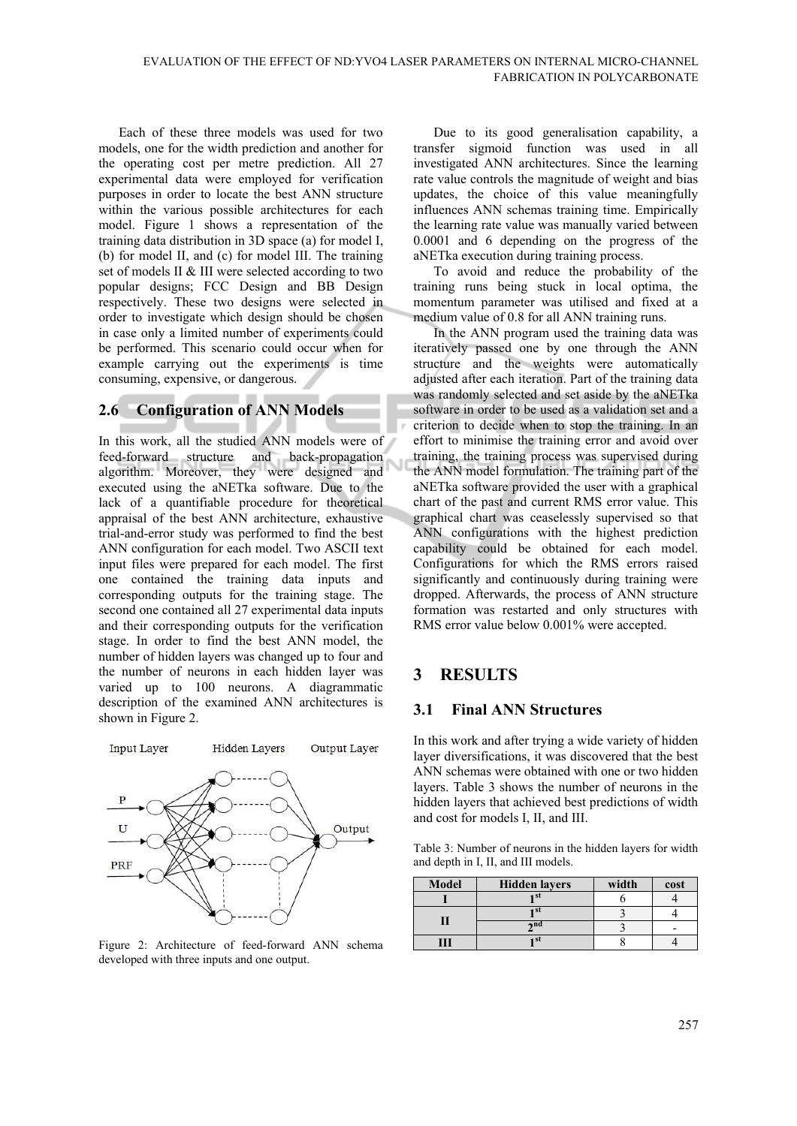Each of these three models was used for two models, one for the width prediction and another for the operating cost per metre prediction. All 27 experimental data were employed for verification purposes in order to locate the best ANN structure within the various possible architectures for each model. Figure 1 shows a representation of the training data distribution in 3D space (a) for model I, (b) for model II, and (c) for model III. The training set of models II & III were selected according to two popular designs; FCC Design and BB Design respectively. These two designs were selected in order to investigate which design should be chosen in case only a limited number of experiments could be performed. This scenario could occur when for example carrying out the experiments is time consuming, expensive, or dangerous.

#### **2.6 Configuration of ANN Models**

In this work, all the studied ANN models were of feed-forward structure and back-propagation Ñ algorithm. Moreover, they were designed and executed using the aNETka software. Due to the lack of a quantifiable procedure for theoretical appraisal of the best ANN architecture, exhaustive trial-and-error study was performed to find the best ANN configuration for each model. Two ASCII text input files were prepared for each model. The first one contained the training data inputs and corresponding outputs for the training stage. The second one contained all 27 experimental data inputs and their corresponding outputs for the verification stage. In order to find the best ANN model, the number of hidden layers was changed up to four and the number of neurons in each hidden layer was varied up to 100 neurons. A diagrammatic description of the examined ANN architectures is shown in Figure 2.



Figure 2: Architecture of feed-forward ANN schema developed with three inputs and one output.

Due to its good generalisation capability, a transfer sigmoid function was used in all investigated ANN architectures. Since the learning rate value controls the magnitude of weight and bias updates, the choice of this value meaningfully influences ANN schemas training time. Empirically the learning rate value was manually varied between 0.0001 and 6 depending on the progress of the aNETka execution during training process.

To avoid and reduce the probability of the training runs being stuck in local optima, the momentum parameter was utilised and fixed at a medium value of 0.8 for all ANN training runs.

In the ANN program used the training data was iteratively passed one by one through the ANN structure and the weights were automatically adjusted after each iteration. Part of the training data was randomly selected and set aside by the aNETka software in order to be used as a validation set and a criterion to decide when to stop the training. In an effort to minimise the training error and avoid over training, the training process was supervised during the ANN model formulation. The training part of the aNETka software provided the user with a graphical chart of the past and current RMS error value. This graphical chart was ceaselessly supervised so that ANN configurations with the highest prediction capability could be obtained for each model. Configurations for which the RMS errors raised significantly and continuously during training were dropped. Afterwards, the process of ANN structure formation was restarted and only structures with RMS error value below 0.001% were accepted.

# **3 RESULTS**

#### **3.1 Final ANN Structures**

In this work and after trying a wide variety of hidden layer diversifications, it was discovered that the best ANN schemas were obtained with one or two hidden layers. Table 3 shows the number of neurons in the hidden layers that achieved best predictions of width and cost for models I, II, and III.

Table 3: Number of neurons in the hidden layers for width and depth in I, II, and III models.

| <b>Model</b> | <b>Hidden layers</b> | width | cost |
|--------------|----------------------|-------|------|
|              |                      |       |      |
|              |                      |       |      |
|              | ond                  |       |      |
|              | ы                    |       |      |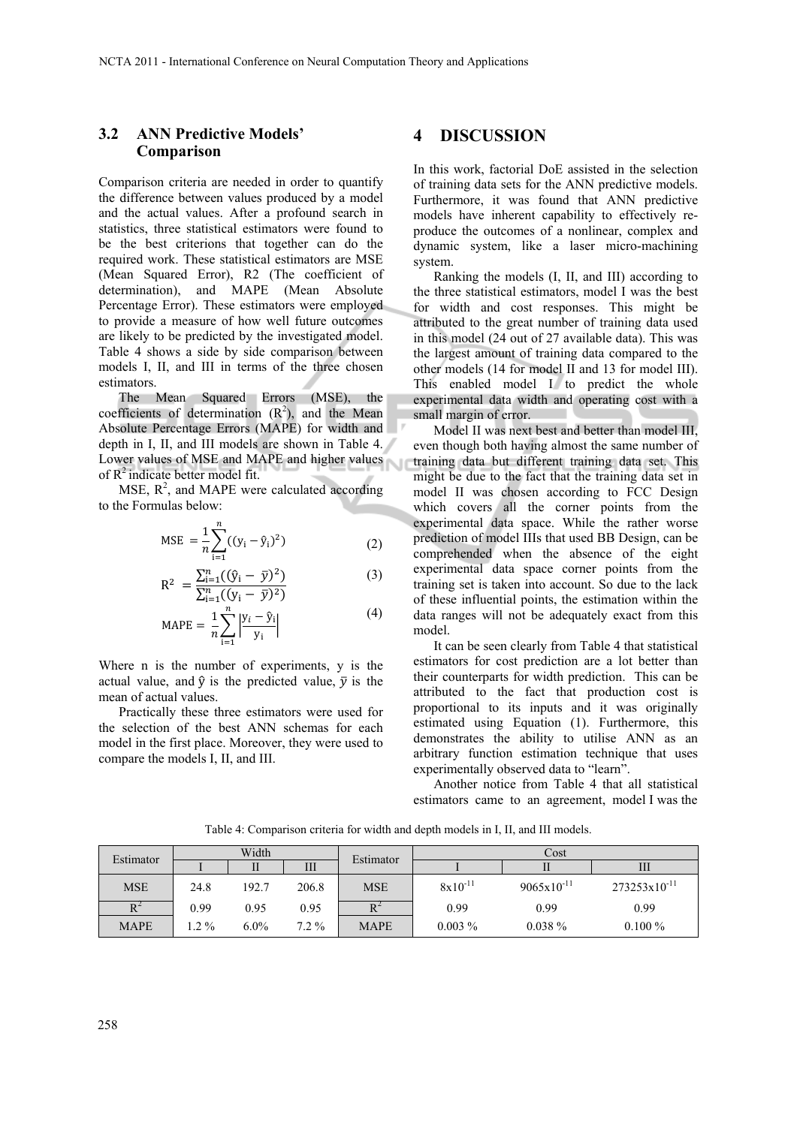#### **3.2 ANN Predictive Models' Comparison**

Comparison criteria are needed in order to quantify the difference between values produced by a model and the actual values. After a profound search in statistics, three statistical estimators were found to be the best criterions that together can do the required work. These statistical estimators are MSE (Mean Squared Error), R2 (The coefficient of determination), and MAPE (Mean Absolute Percentage Error). These estimators were employed to provide a measure of how well future outcomes are likely to be predicted by the investigated model. Table 4 shows a side by side comparison between models I, II, and III in terms of the three chosen estimators.

The Mean Squared Errors (MSE), the coefficients of determination  $(R^2)$ , and the Mean Absolute Percentage Errors (MAPE) for width and depth in I, II, and III models are shown in Table 4. Lower values of MSE and MAPE and higher values of  $R^2$  indicate better model fit.

MSE,  $R^2$ , and MAPE were calculated according to the Formulas below:

MSE = 
$$
\frac{1}{n} \sum_{i=1}^{n} ((y_i - \hat{y}_i)^2)
$$
 (2)

$$
R^{2} = \frac{\sum_{i=1}^{n} ((\hat{y}_{i} - \bar{y})^{2})}{\sum_{i=1}^{n} ((y_{i} - \bar{y})^{2})}
$$
(3)

$$
MAPE = \frac{1}{n} \sum_{i=1}^{n} \left| \frac{y_i - \hat{y}_i}{y_i} \right|
$$
 (4)

Where n is the number of experiments, y is the actual value, and  $\hat{v}$  is the predicted value,  $\bar{v}$  is the mean of actual values.

Practically these three estimators were used for the selection of the best ANN schemas for each model in the first place. Moreover, they were used to compare the models I, II, and III.

#### **4 DISCUSSION**

In this work, factorial DoE assisted in the selection of training data sets for the ANN predictive models. Furthermore, it was found that ANN predictive models have inherent capability to effectively reproduce the outcomes of a nonlinear, complex and dynamic system, like a laser micro-machining system.

Ranking the models (I, II, and III) according to the three statistical estimators, model I was the best for width and cost responses. This might be attributed to the great number of training data used in this model (24 out of 27 available data). This was the largest amount of training data compared to the other models (14 for model II and 13 for model III). This enabled model I to predict the whole experimental data width and operating cost with a small margin of error.

Model II was next best and better than model III, even though both having almost the same number of training data but different training data set. This might be due to the fact that the training data set in model II was chosen according to FCC Design which covers all the corner points from the experimental data space. While the rather worse prediction of model IIIs that used BB Design, can be comprehended when the absence of the eight experimental data space corner points from the training set is taken into account. So due to the lack of these influential points, the estimation within the data ranges will not be adequately exact from this model.

It can be seen clearly from Table 4 that statistical estimators for cost prediction are a lot better than their counterparts for width prediction. This can be attributed to the fact that production cost is proportional to its inputs and it was originally estimated using Equation (1). Furthermore, this demonstrates the ability to utilise ANN as an arbitrary function estimation technique that uses experimentally observed data to "learn".

Another notice from Table 4 that all statistical estimators came to an agreement, model I was the

| Estimator   | Width |         | Estimator | Cost        |              |                 |                   |
|-------------|-------|---------|-----------|-------------|--------------|-----------------|-------------------|
|             |       |         | Ш         |             |              |                 | Ш                 |
| <b>MSE</b>  | 24.8  | 192.7   | 206.8     | <b>MSE</b>  | $8x10^{-11}$ | $9065x10^{-11}$ | $273253x10^{-11}$ |
| $R^2$       | 0.99  | 0.95    | 0.95      | $R^2$       | 0.99         | 0.99            | 0.99              |
| <b>MAPE</b> | $2\%$ | $6.0\%$ | $7.2\%$   | <b>MAPE</b> | $0.003\%$    | $0.038\%$       | $0.100\%$         |

Table 4: Comparison criteria for width and depth models in I, II, and III models.